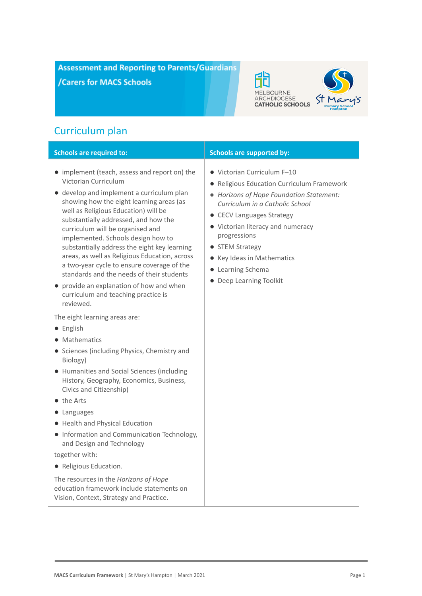**Assessment and Reporting to Parents/Guardians** /Carers for MACS Schools



# Curriculum plan

| <b>Schools are required to:</b>                                                                                                                                                                                                                                                                                                                                                                                                                                                                                                                                                                                                                                  | <b>Schools are supported by:</b>                                                                                                                                                                                                                                                                                                            |
|------------------------------------------------------------------------------------------------------------------------------------------------------------------------------------------------------------------------------------------------------------------------------------------------------------------------------------------------------------------------------------------------------------------------------------------------------------------------------------------------------------------------------------------------------------------------------------------------------------------------------------------------------------------|---------------------------------------------------------------------------------------------------------------------------------------------------------------------------------------------------------------------------------------------------------------------------------------------------------------------------------------------|
| • implement (teach, assess and report on) the<br>Victorian Curriculum<br>develop and implement a curriculum plan<br>$\bullet$<br>showing how the eight learning areas (as<br>well as Religious Education) will be<br>substantially addressed, and how the<br>curriculum will be organised and<br>implemented. Schools design how to<br>substantially address the eight key learning<br>areas, as well as Religious Education, across<br>a two-year cycle to ensure coverage of the<br>standards and the needs of their students<br>• provide an explanation of how and when<br>curriculum and teaching practice is<br>reviewed.<br>The eight learning areas are: | • Victorian Curriculum F-10<br>• Religious Education Curriculum Framework<br>• Horizons of Hope Foundation Statement:<br>Curriculum in a Catholic School<br>• CECV Languages Strategy<br>• Victorian literacy and numeracy<br>progressions<br>• STEM Strategy<br>• Key Ideas in Mathematics<br>• Learning Schema<br>• Deep Learning Toolkit |
| • English                                                                                                                                                                                                                                                                                                                                                                                                                                                                                                                                                                                                                                                        |                                                                                                                                                                                                                                                                                                                                             |
| Mathematics                                                                                                                                                                                                                                                                                                                                                                                                                                                                                                                                                                                                                                                      |                                                                                                                                                                                                                                                                                                                                             |
| • Sciences (including Physics, Chemistry and<br>Biology)                                                                                                                                                                                                                                                                                                                                                                                                                                                                                                                                                                                                         |                                                                                                                                                                                                                                                                                                                                             |
| • Humanities and Social Sciences (including<br>History, Geography, Economics, Business,<br>Civics and Citizenship)                                                                                                                                                                                                                                                                                                                                                                                                                                                                                                                                               |                                                                                                                                                                                                                                                                                                                                             |
| $\bullet$ the Arts                                                                                                                                                                                                                                                                                                                                                                                                                                                                                                                                                                                                                                               |                                                                                                                                                                                                                                                                                                                                             |
| • Languages                                                                                                                                                                                                                                                                                                                                                                                                                                                                                                                                                                                                                                                      |                                                                                                                                                                                                                                                                                                                                             |
| • Health and Physical Education                                                                                                                                                                                                                                                                                                                                                                                                                                                                                                                                                                                                                                  |                                                                                                                                                                                                                                                                                                                                             |
| • Information and Communication Technology,<br>and Design and Technology                                                                                                                                                                                                                                                                                                                                                                                                                                                                                                                                                                                         |                                                                                                                                                                                                                                                                                                                                             |
| together with:                                                                                                                                                                                                                                                                                                                                                                                                                                                                                                                                                                                                                                                   |                                                                                                                                                                                                                                                                                                                                             |
| • Religious Education.                                                                                                                                                                                                                                                                                                                                                                                                                                                                                                                                                                                                                                           |                                                                                                                                                                                                                                                                                                                                             |
| The resources in the Horizons of Hope<br>education framework include statements on<br>Vision, Context, Strategy and Practice.                                                                                                                                                                                                                                                                                                                                                                                                                                                                                                                                    |                                                                                                                                                                                                                                                                                                                                             |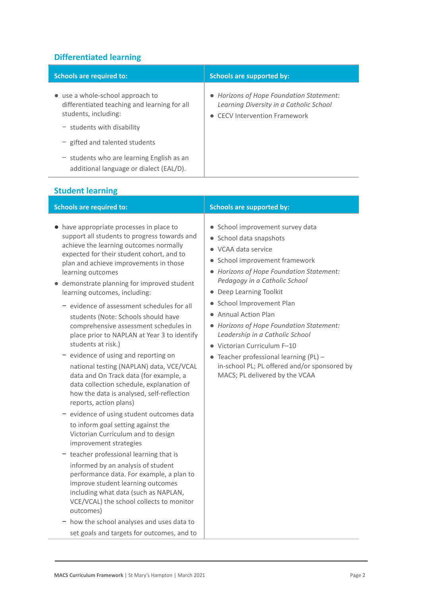# **Differentiated learning**

| <b>Schools are required to:</b>                                                                                                          | <b>Schools are supported by:</b>                                                                                          |
|------------------------------------------------------------------------------------------------------------------------------------------|---------------------------------------------------------------------------------------------------------------------------|
| • use a whole-school approach to<br>differentiated teaching and learning for all<br>students, including:<br>$-$ students with disability | • Horizons of Hope Foundation Statement:<br>Learning Diversity in a Catholic School<br><b>CECV Intervention Framework</b> |
| - gifted and talented students                                                                                                           |                                                                                                                           |
| $-$ students who are learning English as an<br>additional language or dialect (EAL/D).                                                   |                                                                                                                           |

# **Student learning**

- have appropriate processes in place to support all students to progress towards and achieve the learning outcomes normally expected for their student cohort, and to plan and achieve improvements in those learning outcomes
- demonstrate planning for improved student learning outcomes, including:
	- − evidence of assessment schedules for all students (Note: Schools should have comprehensive assessment schedules in place prior to NAPLAN at Year 3 to identify students at risk.)
	- − evidence of using and reporting on national testing (NAPLAN) data, VCE/VCAL data and On Track data (for example, a data collection schedule, explanation of how the data is analysed, self-reflection reports, action plans)
	- − evidence of using student outcomes data to inform goal setting against the Victorian Curriculum and to design improvement strategies
	- − teacher professional learning that is informed by an analysis of student performance data. For example, a plan to improve student learning outcomes including what data (such as NAPLAN, VCE/VCAL) the school collects to monitor outcomes)
	- − how the school analyses and uses data to set goals and targets for outcomes, and to

# **Schools are required to: Schools are supported by: Schools are supported by:**

- School improvement survey data
- School data snapshots
- VCAA data service
- School improvement framework
- *Horizons of Hope Foundation Statement: Pedagogy in a Catholic School*
- Deep Learning Toolkit
- School Improvement Plan
- Annual Action Plan
- *Horizons of Hope Foundation Statement: Leadership in a Catholic School*
- Victorian Curriculum F–10
- $\bullet$  Teacher professional learning (PL) in-school PL; PL offered and/or sponsored by MACS; PL delivered by the VCAA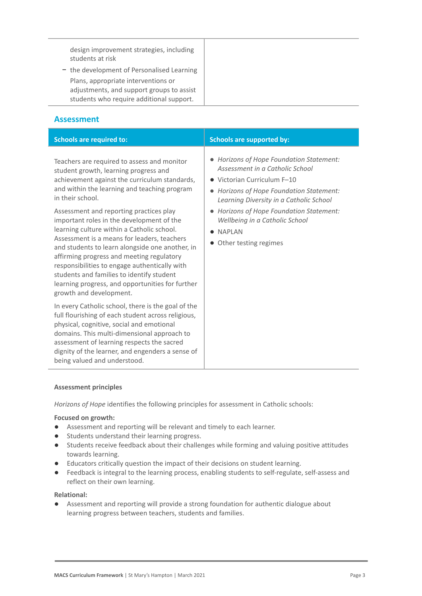design improvement strategies, including students at risk

− the development of Personalised Learning Plans, appropriate interventions or adjustments, and support groups to assist students who require additional support.

# **Assessment**

| <b>Schools are required to:</b>                                                                                                                                                                                                                                                                                                                                                                                                                                | <b>Schools are supported by:</b>                                                                                                                                                                  |
|----------------------------------------------------------------------------------------------------------------------------------------------------------------------------------------------------------------------------------------------------------------------------------------------------------------------------------------------------------------------------------------------------------------------------------------------------------------|---------------------------------------------------------------------------------------------------------------------------------------------------------------------------------------------------|
| Teachers are required to assess and monitor<br>student growth, learning progress and<br>achievement against the curriculum standards,<br>and within the learning and teaching program<br>in their school.                                                                                                                                                                                                                                                      | • Horizons of Hope Foundation Statement:<br>Assessment in a Catholic School<br>• Victorian Curriculum F-10<br>• Horizons of Hope Foundation Statement:<br>Learning Diversity in a Catholic School |
| Assessment and reporting practices play<br>important roles in the development of the<br>learning culture within a Catholic school.<br>Assessment is a means for leaders, teachers<br>and students to learn alongside one another, in<br>affirming progress and meeting regulatory<br>responsibilities to engage authentically with<br>students and families to identify student<br>learning progress, and opportunities for further<br>growth and development. | • Horizons of Hope Foundation Statement:<br>Wellbeing in a Catholic School<br><b>NAPLAN</b><br>Other testing regimes<br>$\bullet$                                                                 |
| In every Catholic school, there is the goal of the<br>full flourishing of each student across religious,<br>physical, cognitive, social and emotional<br>domains. This multi-dimensional approach to<br>assessment of learning respects the sacred<br>dignity of the learner, and engenders a sense of<br>being valued and understood.                                                                                                                         |                                                                                                                                                                                                   |

# **Assessment principles**

*Horizons of Hope* identifies the following principles for assessment in Catholic schools:

#### **Focused on growth:**

- Assessment and reporting will be relevant and timely to each learner.
- Students understand their learning progress.
- Students receive feedback about their challenges while forming and valuing positive attitudes towards learning.
- Educators critically question the impact of their decisions on student learning.
- Feedback is integral to the learning process, enabling students to self-regulate, self-assess and reflect on their own learning.

#### **Relational:**

● Assessment and reporting will provide a strong foundation for authentic dialogue about learning progress between teachers, students and families.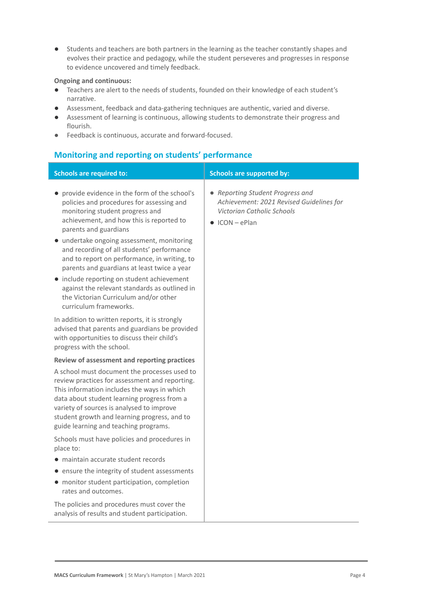● Students and teachers are both partners in the learning as the teacher constantly shapes and evolves their practice and pedagogy, while the student perseveres and progresses in response to evidence uncovered and timely feedback.

## **Ongoing and continuous:**

- Teachers are alert to the needs of students, founded on their knowledge of each student's narrative.
- Assessment, feedback and data-gathering techniques are authentic, varied and diverse.
- Assessment of learning is continuous, allowing students to demonstrate their progress and flourish.
- Feedback is continuous, accurate and forward-focused.

# **Monitoring and reporting on students' performance**

| <b>Schools are required to:</b>                                                                                                                                                                                                                                                                                                                                                                                                                                                                                                                                  | <b>Schools are supported by:</b>                                                                                                     |
|------------------------------------------------------------------------------------------------------------------------------------------------------------------------------------------------------------------------------------------------------------------------------------------------------------------------------------------------------------------------------------------------------------------------------------------------------------------------------------------------------------------------------------------------------------------|--------------------------------------------------------------------------------------------------------------------------------------|
| • provide evidence in the form of the school's<br>policies and procedures for assessing and<br>monitoring student progress and<br>achievement, and how this is reported to<br>parents and guardians<br>· undertake ongoing assessment, monitoring<br>and recording of all students' performance<br>and to report on performance, in writing, to<br>parents and guardians at least twice a year<br>• include reporting on student achievement<br>against the relevant standards as outlined in<br>the Victorian Curriculum and/or other<br>curriculum frameworks. | • Reporting Student Progress and<br>Achievement: 2021 Revised Guidelines for<br>Victorian Catholic Schools<br>$\bullet$ ICON - ePlan |
| In addition to written reports, it is strongly<br>advised that parents and guardians be provided<br>with opportunities to discuss their child's<br>progress with the school.                                                                                                                                                                                                                                                                                                                                                                                     |                                                                                                                                      |
| Review of assessment and reporting practices                                                                                                                                                                                                                                                                                                                                                                                                                                                                                                                     |                                                                                                                                      |
| A school must document the processes used to<br>review practices for assessment and reporting.<br>This information includes the ways in which<br>data about student learning progress from a<br>variety of sources is analysed to improve<br>student growth and learning progress, and to<br>guide learning and teaching programs.                                                                                                                                                                                                                               |                                                                                                                                      |
| Schools must have policies and procedures in<br>place to:                                                                                                                                                                                                                                                                                                                                                                                                                                                                                                        |                                                                                                                                      |
| • maintain accurate student records                                                                                                                                                                                                                                                                                                                                                                                                                                                                                                                              |                                                                                                                                      |
| • ensure the integrity of student assessments                                                                                                                                                                                                                                                                                                                                                                                                                                                                                                                    |                                                                                                                                      |
| • monitor student participation, completion<br>rates and outcomes.                                                                                                                                                                                                                                                                                                                                                                                                                                                                                               |                                                                                                                                      |
| The policies and procedures must cover the<br>analysis of results and student participation.                                                                                                                                                                                                                                                                                                                                                                                                                                                                     |                                                                                                                                      |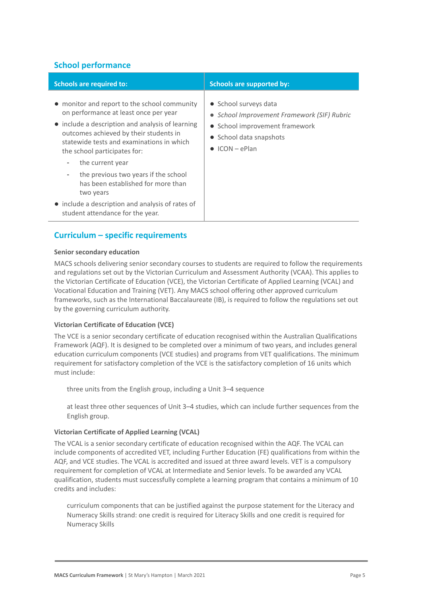# **School performance**

| <b>Schools are required to:</b>                                                                                                                                                                                                                                  | <b>Schools are supported by:</b>                                                                                                                              |
|------------------------------------------------------------------------------------------------------------------------------------------------------------------------------------------------------------------------------------------------------------------|---------------------------------------------------------------------------------------------------------------------------------------------------------------|
| • monitor and report to the school community<br>on performance at least once per year<br>• include a description and analysis of learning<br>outcomes achieved by their students in<br>statewide tests and examinations in which<br>the school participates for: | • School surveys data<br>• School Improvement Framework (SIF) Rubric<br>• School improvement framework<br>• School data snapshots<br>$\bullet$ ICON $-$ ePlan |
| the current year<br>$\overline{\phantom{a}}$                                                                                                                                                                                                                     |                                                                                                                                                               |
| the previous two years if the school<br>has been established for more than<br>two years                                                                                                                                                                          |                                                                                                                                                               |
| • include a description and analysis of rates of<br>student attendance for the year.                                                                                                                                                                             |                                                                                                                                                               |

# **Curriculum – specific requirements**

#### **Senior secondary education**

MACS schools delivering senior secondary courses to students are required to follow the requirements and regulations set out by the Victorian Curriculum and Assessment Authority (VCAA). This applies to the Victorian Certificate of Education (VCE), the Victorian Certificate of Applied Learning (VCAL) and Vocational Education and Training (VET). Any MACS school offering other approved curriculum frameworks, such as the International Baccalaureate (IB), is required to follow the regulations set out by the governing curriculum authority.

# **Victorian Certificate of Education (VCE)**

The VCE is a senior secondary certificate of education recognised within the Australian Qualifications Framework (AQF). It is designed to be completed over a minimum of two years, and includes general education curriculum components (VCE studies) and programs from VET qualifications. The minimum requirement for satisfactory completion of the VCE is the satisfactory completion of 16 units which must include:

three units from the English group, including a Unit 3–4 sequence

at least three other sequences of Unit 3–4 studies, which can include further sequences from the English group.

#### **Victorian Certificate of Applied Learning (VCAL)**

The VCAL is a senior secondary certificate of education recognised within the AQF. The VCAL can include components of accredited VET, including Further Education (FE) qualifications from within the AQF, and VCE studies. The VCAL is accredited and issued at three award levels. VET is a compulsory requirement for completion of VCAL at Intermediate and Senior levels. To be awarded any VCAL qualification, students must successfully complete a learning program that contains a minimum of 10 credits and includes:

curriculum components that can be justified against the purpose statement for the Literacy and Numeracy Skills strand: one credit is required for Literacy Skills and one credit is required for Numeracy Skills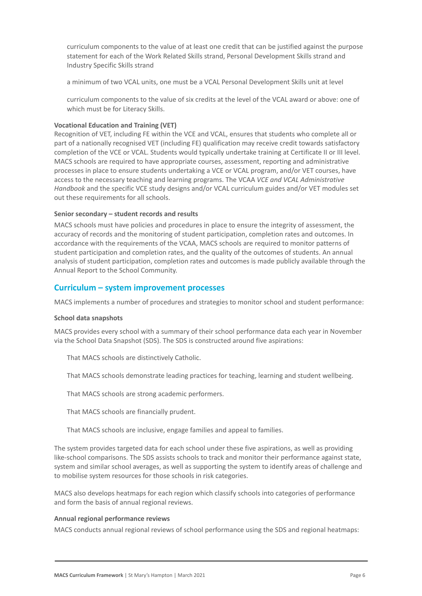curriculum components to the value of at least one credit that can be justified against the purpose statement for each of the Work Related Skills strand, Personal Development Skills strand and Industry Specific Skills strand

a minimum of two VCAL units, one must be a VCAL Personal Development Skills unit at level

curriculum components to the value of six credits at the level of the VCAL award or above: one of which must be for Literacy Skills.

### **Vocational Education and Training (VET)**

Recognition of VET, including FE within the VCE and VCAL, ensures that students who complete all or part of a nationally recognised VET (including FE) qualification may receive credit towards satisfactory completion of the VCE or VCAL. Students would typically undertake training at Certificate II or III level. MACS schools are required to have appropriate courses, assessment, reporting and administrative processes in place to ensure students undertaking a VCE or VCAL program, and/or VET courses, have access to the necessary teaching and learning programs. The VCAA *VCE and VCAL Administrative Handbook* and the specific VCE study designs and/or VCAL curriculum guides and/or VET modules set out these requirements for all schools.

#### **Senior secondary – student records and results**

MACS schools must have policies and procedures in place to ensure the integrity of assessment, the accuracy of records and the monitoring of student participation, completion rates and outcomes. In accordance with the requirements of the VCAA, MACS schools are required to monitor patterns of student participation and completion rates, and the quality of the outcomes of students. An annual analysis of student participation, completion rates and outcomes is made publicly available through the Annual Report to the School Community.

# **Curriculum – system improvement processes**

MACS implements a number of procedures and strategies to monitor school and student performance:

#### **School data snapshots**

MACS provides every school with a summary of their school performance data each year in November via the School Data Snapshot (SDS). The SDS is constructed around five aspirations:

That MACS schools are distinctively Catholic.

2. That MACS schools demonstrate leading practices for teaching, learning and student wellbeing.

That MACS schools are strong academic performers.

That MACS schools are financially prudent.

5. That MACS schools are inclusive, engage families and appeal to families.

The system provides targeted data for each school under these five aspirations, as well as providing like-school comparisons. The SDS assists schools to track and monitor their performance against state, system and similar school averages, as well as supporting the system to identify areas of challenge and to mobilise system resources for those schools in risk categories.

MACS also develops heatmaps for each region which classify schools into categories of performance and form the basis of annual regional reviews.

#### **Annual regional performance reviews**

MACS conducts annual regional reviews of school performance using the SDS and regional heatmaps: